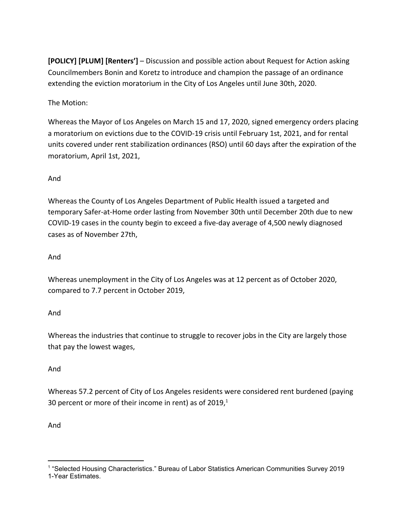**[POLICY] [PLUM] [Renters']** – Discussion and possible action about Request for Action asking Councilmembers Bonin and Koretz to introduce and champion the passage of an ordinance extending the eviction moratorium in the City of Los Angeles until June 30th, 2020.

The Motion:

Whereas the Mayor of Los Angeles on March 15 and 17, 2020, signed emergency orders placing a moratorium on evictions due to the COVID-19 crisis until February 1st, 2021, and for rental units covered under rent stabilization ordinances (RSO) until 60 days after the expiration of the moratorium, April 1st, 2021,

# And

Whereas the County of Los Angeles Department of Public Health issued a targeted and temporary Safer-at-Home order lasting from November 30th until December 20th due to new COVID-19 cases in the county begin to exceed a five-day average of 4,500 newly diagnosed cases as of November 27th,

# And

Whereas unemployment in the City of Los Angeles was at 12 percent as of October 2020, compared to 7.7 percent in October 2019,

# And

Whereas the industries that continue to struggle to recover jobs in the City are largely those that pay the lowest wages,

# And

Whereas 57.2 percent of City of Los Angeles residents were considered rent burdened (paying 30 percent or more of their income in rent) as of 2019, $^1$ 

# And

<sup>1</sup> "Selected Housing Characteristics." Bureau of Labor Statistics American Communities Survey 2019 1-Year Estimates.